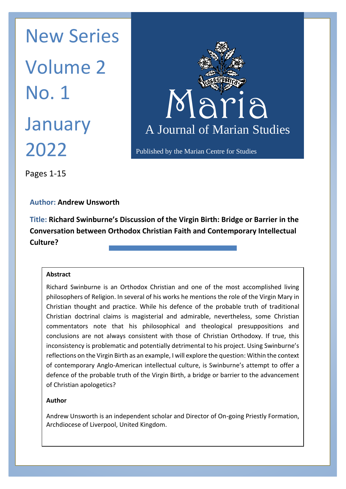Maria Maria N January A Journal New Series Volume 2 No. 1 2022



Published by the Marian Centre for Studies

Pages 1-15

**Author: Andrew Unsworth**

**Title: Richard Swinburne's Discussion of the Virgin Birth: Bridge or Barrier in the Conversation between Orthodox Christian Faith and Contemporary Intellectual Culture?**

## **Abstract**

Richard Swinburne is an Orthodox Christian and one of the most accomplished living philosophers of Religion. In several of his works he mentions the role of the Virgin Mary in Christian thought and practice. While his defence of the probable truth of traditional Christian doctrinal claims is magisterial and admirable, nevertheless, some Christian commentators note that his philosophical and theological presuppositions and conclusions are not always consistent with those of Christian Orthodoxy. If true, this inconsistency is problematic and potentially detrimental to his project. Using Swinburne's reflections on the Virgin Birth as an example, I will explore the question: Within the context of contemporary Anglo-American intellectual culture, is Swinburne's attempt to offer a defence of the probable truth of the Virgin Birth, a bridge or barrier to the advancement of Christian apologetics?

## **Author**

Andrew Unsworth is an independent scholar and Director of On-going Priestly Formation, Archdiocese of Liverpool, United Kingdom.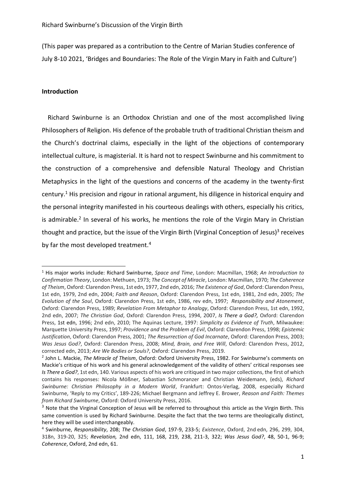(This paper was prepared as a contribution to the Centre of Marian Studies conference of July 8-10 2021, 'Bridges and Boundaries: The Role of the Virgin Mary in Faith and Culture')

### **Introduction**

 Richard Swinburne is an Orthodox Christian and one of the most accomplished living Philosophers of Religion. His defence of the probable truth of traditional Christian theism and the Church's doctrinal claims, especially in the light of the objections of contemporary intellectual culture, is magisterial. It is hard not to respect Swinburne and his commitment to the construction of a comprehensive and defensible Natural Theology and Christian Metaphysics in the light of the questions and concerns of the academy in the twenty-first century.<sup>1</sup> His precision and rigour in rational argument, his diligence in historical enquiry and the personal integrity manifested in his courteous dealings with others, especially his critics, is admirable.<sup>2</sup> In several of his works, he mentions the role of the Virgin Mary in Christian thought and practice, but the issue of the Virgin Birth (Virginal Conception of Jesus)<sup>3</sup> receives by far the most developed treatment.<sup>4</sup>

<sup>1</sup> His major works include: Richard Swinburne, *Space and Time*, London: Macmillan, 1968; *An Introduction to Confirmation Theory*, London: Methuen, 1973; *The Concept of Miracle*, London: Macmillan, 1970; *The Coherence of Theism*, Oxford: Clarendon Press, 1st edn, 1977, 2nd edn, 2016; *The Existence of God*, Oxford: Clarendon Press, 1st edn, 1979, 2nd edn, 2004; *Faith and Reason*, Oxford: Clarendon Press, 1st edn, 1981, 2nd edn, 2005; *The Evolution of the Soul*, Oxford: Clarendon Press, 1st edn, 1986, rev edn, 1997; *Responsibility and Atonement*, Oxford: Clarendon Press, 1989; *Revelation From Metaphor to Analogy*, Oxford: Clarendon Press, 1st edn, 1992, 2nd edn, 2007; *The Christian God*, Oxford: Clarendon Press, 1994, 2007, *[Is There a God?,](https://en.wikipedia.org/wiki/Is_There_a_God%3F)* Oxford: Clarendon Press, 1st edn, 1996; 2nd edn, 2010; The Aquinas Lecture, 1997: *Simplicity as Evidence of Truth*, Milwaukee: Marquette University Press, 1997; *Providence and the Problem of Evil*, Oxford: Clarendon Press, 1998; *Epistemic Justification*, Oxford: Clarendon Press, 2001; *The Resurrection of God Incarnate*, Oxford: Clarendon Press, 2003; *Was Jesus God?*, Oxford: Clarendon Press, 2008; *Mind, Brain, and Free Will*, Oxford: Clarendon Press, 2012, corrected edn, 2013; *Are We Bodies or Souls?*, Oxford: Clarendon Press, 2019.

<sup>2</sup> John L. Mackie, *The Miracle of Theism*, Oxford: Oxford University Press, 1982. For Swinburne's comments on Mackie's critique of his work and his general acknowledgement of the validity of others' critical responses see *[Is There a God?](https://en.wikipedia.org/wiki/Is_There_a_God%3F)*, 1st edn, 140. Various aspects of his work are critiqued in two major collections, the first of which contains his responses: Nicola Mößner, Sabastian Schmoranzer and Christian Weidemann, (eds), *Richard Swinburne: Christian Philosophy in a Modern World*, Frankfurt: Ontos-Verlag, 2008, especially Richard Swinburne, 'Reply to my Critics', 189-226; Michael Bergmann and Jeffrey E. Brower, *Reason and Faith: Themes from Richard Swinburne*, Oxford: Oxford University Press, 2016.

<sup>&</sup>lt;sup>3</sup> Note that the Virginal Conception of Jesus will be referred to throughout this article as the Virgin Birth. This same convention is used by Richard Swinburne. Despite the fact that the two terms are theologically distinct, here they will be used interchangeably.

<sup>4</sup> Swinburne, *Responsibility*, 208; *The Christian God*, 197-9, 233-5; *Existence*, Oxford, 2nd edn, 296, 299, 304, 318n, 319-20, 325; *Revelation,* 2nd edn, 111, 168, 219, 238, 211-3, 322; *Was Jesus God?*, 48, 50-1, 96-9; *Coherence*, Oxford, 2nd edn, 61.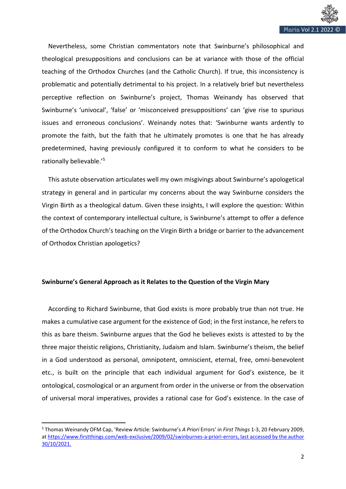

 Nevertheless, some Christian commentators note that Swinburne's philosophical and theological presuppositions and conclusions can be at variance with those of the official teaching of the Orthodox Churches (and the Catholic Church). If true, this inconsistency is problematic and potentially detrimental to his project. In a relatively brief but nevertheless perceptive reflection on Swinburne's project, Thomas Weinandy has observed that Swinburne's 'univocal', 'false' or 'misconceived presuppositions' can 'give rise to spurious issues and erroneous conclusions'. Weinandy notes that: 'Swinburne wants ardently to promote the faith, but the faith that he ultimately promotes is one that he has already predetermined, having previously configured it to conform to what he considers to be rationally believable.'<sup>5</sup>

 This astute observation articulates well my own misgivings about Swinburne's apologetical strategy in general and in particular my concerns about the way Swinburne considers the Virgin Birth as a theological datum. Given these insights, I will explore the question: Within the context of contemporary intellectual culture, is Swinburne's attempt to offer a defence of the Orthodox Church's teaching on the Virgin Birth a bridge or barrier to the advancement of Orthodox Christian apologetics?

## **Swinburne's General Approach as it Relates to the Question of the Virgin Mary**

 According to Richard Swinburne, that God exists is more probably true than not true. He makes a cumulative case argument for the existence of God; in the first instance, he refers to this as bare theism. Swinburne argues that the God he believes exists is attested to by the three major theistic religions, Christianity, Judaism and Islam. Swinburne's theism, the belief in a God understood as personal, omnipotent, omniscient, eternal, free, omni-benevolent etc., is built on the principle that each individual argument for God's existence, be it ontological, cosmological or an argument from order in the universe or from the observation of universal moral imperatives, provides a rational case for God's existence. In the case of

<sup>5</sup> Thomas Weinandy OFM Cap, 'Review Article: Swinburne's *A Priori* Errors' in *First Things* 1-3, 20 February 2009, a[t https://www.firstthings.com/web-exclusive/2009/02/swinburnes-a-priori-errors,](https://www.firstthings.com/web-exclusive/2009/02/swinburnes-a-priori-errors) last accessed by the author 30/10/2021.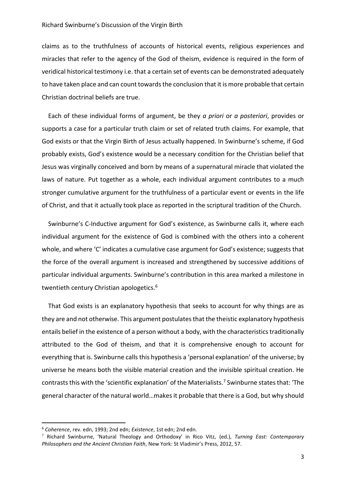#### Richard Swinburne's Discussion of the Virgin Birth

claims as to the truthfulness of accounts of historical events, religious experiences and miracles that refer to the agency of the God of theism, evidence is required in the form of veridical historical testimony i.e. that a certain set of events can be demonstrated adequately to have taken place and can count towards the conclusion that it is more probable that certain Christian doctrinal beliefs are true.

 Each of these individual forms of argument, be they *a priori* or *a posteriori*, provides or supports a case for a particular truth claim or set of related truth claims. For example, that God exists or that the Virgin Birth of Jesus actually happened. In Swinburne's scheme, if God probably exists, God's existence would be a necessary condition for the Christian belief that Jesus was virginally conceived and born by means of a supernatural miracle that violated the laws of nature. Put together as a whole, each individual argument contributes to a much stronger cumulative argument for the truthfulness of a particular event or events in the life of Christ, and that it actually took place as reported in the scriptural tradition of the Church.

 Swinburne's C-Inductive argument for God's existence, as Swinburne calls it, where each individual argument for the existence of God is combined with the others into a coherent whole, and where 'C' indicates a cumulative case argument for God's existence; suggests that the force of the overall argument is increased and strengthened by successive additions of particular individual arguments. Swinburne's contribution in this area marked a milestone in twentieth century Christian apologetics.<sup>6</sup>

 That God exists is an explanatory hypothesis that seeks to account for why things are as they are and not otherwise. This argument postulates that the theistic explanatory hypothesis entails belief in the existence of a person without a body, with the characteristics traditionally attributed to the God of theism, and that it is comprehensive enough to account for everything that is. Swinburne calls this hypothesis a 'personal explanation' of the universe; by universe he means both the visible material creation and the invisible spiritual creation. He contrasts this with the 'scientific explanation' of the Materialists.<sup>7</sup> Swinburne states that: 'The general character of the natural world…makes it probable that there is a God, but why should

<sup>6</sup> *Coherence*, rev. edn, 1993; 2nd edn; *Existence*, 1st edn; 2nd edn.

<sup>7</sup> Richard Swinburne, 'Natural Theology and Orthodoxy' in Rico Vitz, (ed.), *Turning East: Contemporary Philosophers and the Ancient Christian Faith*, New York: St Vladimir's Press, 2012, 57.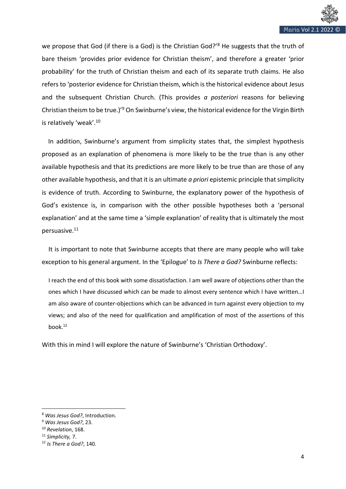

we propose that God (if there is a God) is the Christian God?'<sup>8</sup> He suggests that the truth of bare theism 'provides prior evidence for Christian theism', and therefore a greater 'prior probability' for the truth of Christian theism and each of its separate truth claims. He also refers to 'posterior evidence for Christian theism, which is the historical evidence about Jesus and the subsequent Christian Church. (This provides *a posteriori* reasons for believing Christian theism to be true.)'<sup>9</sup> On Swinburne's view, the historical evidence for the Virgin Birth is relatively 'weak'.<sup>10</sup>

 In addition, Swinburne's argument from simplicity states that, the simplest hypothesis proposed as an explanation of phenomena is more likely to be the true than is any other available hypothesis and that its predictions are more likely to be true than are those of any other available hypothesis, and that it is an ultimate *a priori* epistemic principle that simplicity is evidence of truth. According to Swinburne, the explanatory power of the hypothesis of God's existence is, in comparison with the other possible hypotheses both a 'personal explanation' and at the same time a 'simple explanation' of reality that is ultimately the most persuasive.<sup>11</sup>

It is important to note that Swinburne accepts that there are many people who will take exception to his general argument. In the 'Epilogue' to *Is There a God?* Swinburne reflects:

I reach the end of this book with some dissatisfaction. I am well aware of objections other than the ones which I have discussed which can be made to almost every sentence which I have written…I am also aware of counter-objections which can be advanced in turn against every objection to my views; and also of the need for qualification and amplification of most of the assertions of this book.<sup>12</sup>

With this in mind I will explore the nature of Swinburne's 'Christian Orthodoxy'.

<sup>8</sup> *Was Jesus God?*, Introduction.

<sup>9</sup> *Was Jesus God?*, 23.

<sup>10</sup> *Revelation*, 168.

<sup>11</sup> *Simplicity,* 7.

<sup>12</sup> *Is There a God?*, 140.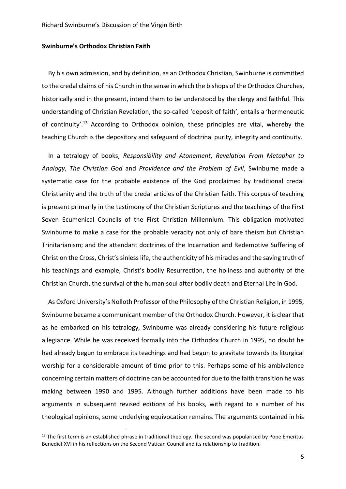#### **Swinburne's Orthodox Christian Faith**

 By his own admission, and by definition, as an Orthodox Christian, Swinburne is committed to the credal claims of his Church in the sense in which the bishops of the Orthodox Churches, historically and in the present, intend them to be understood by the clergy and faithful. This understanding of Christian Revelation, the so-called 'deposit of faith', entails a 'hermeneutic of continuity'.<sup>13</sup> According to Orthodox opinion, these principles are vital, whereby the teaching Church is the depository and safeguard of doctrinal purity, integrity and continuity.

 In a tetralogy of books, *Responsibility and Atonement*, *Revelation From Metaphor to Analogy*, *The Christian God* and *Providence and the Problem of Evil*, Swinburne made a systematic case for the probable existence of the God proclaimed by traditional credal Christianity and the truth of the credal articles of the Christian faith. This corpus of teaching is present primarily in the testimony of the Christian Scriptures and the teachings of the First Seven Ecumenical Councils of the First Christian Millennium. This obligation motivated Swinburne to make a case for the probable veracity not only of bare theism but Christian Trinitarianism; and the attendant doctrines of the Incarnation and Redemptive Suffering of Christ on the Cross, Christ's sinless life, the authenticity of his miracles and the saving truth of his teachings and example, Christ's bodily Resurrection, the holiness and authority of the Christian Church, the survival of the human soul after bodily death and Eternal Life in God.

 As Oxford University's Nolloth Professor of the Philosophy of the Christian Religion, in 1995, Swinburne became a communicant member of the Orthodox Church. However, it is clear that as he embarked on his tetralogy, Swinburne was already considering his future religious allegiance. While he was received formally into the Orthodox Church in 1995, no doubt he had already begun to embrace its teachings and had begun to gravitate towards its liturgical worship for a considerable amount of time prior to this. Perhaps some of his ambivalence concerning certain matters of doctrine can be accounted for due to the faith transition he was making between 1990 and 1995. Although further additions have been made to his arguments in subsequent revised editions of his books, with regard to a number of his theological opinions, some underlying equivocation remains. The arguments contained in his

 $13$  The first term is an established phrase in traditional theology. The second was popularised by Pope Emeritus Benedict XVI in his reflections on the Second Vatican Council and its relationship to tradition.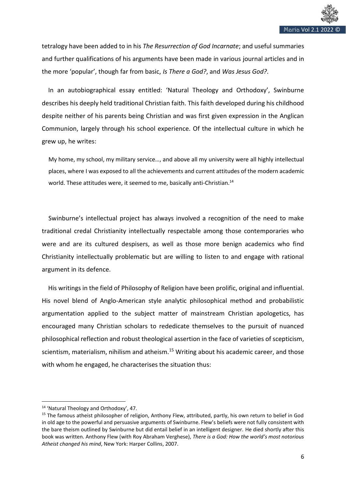

tetralogy have been added to in his *The Resurrection of God Incarnate*; and useful summaries and further qualifications of his arguments have been made in various journal articles and in the more 'popular', though far from basic, *Is There a God?*, and *Was Jesus God?*.

 In an autobiographical essay entitled: 'Natural Theology and Orthodoxy', Swinburne describes his deeply held traditional Christian faith. This faith developed during his childhood despite neither of his parents being Christian and was first given expression in the Anglican Communion, largely through his school experience. Of the intellectual culture in which he grew up, he writes:

My home, my school, my military service…, and above all my university were all highly intellectual places, where I was exposed to all the achievements and current attitudes of the modern academic world. These attitudes were, it seemed to me, basically anti-Christian.<sup>14</sup>

Swinburne's intellectual project has always involved a recognition of the need to make traditional credal Christianity intellectually respectable among those contemporaries who were and are its cultured despisers, as well as those more benign academics who find Christianity intellectually problematic but are willing to listen to and engage with rational argument in its defence.

 His writings in the field of Philosophy of Religion have been prolific, original and influential. His novel blend of Anglo-American style analytic philosophical method and probabilistic argumentation applied to the subject matter of mainstream Christian apologetics, has encouraged many Christian scholars to rededicate themselves to the pursuit of nuanced philosophical reflection and robust theological assertion in the face of varieties of scepticism, scientism, materialism, nihilism and atheism.<sup>15</sup> Writing about his academic career, and those with whom he engaged, he characterises the situation thus:

<sup>14</sup> 'Natural Theology and Orthodoxy', 47.

<sup>&</sup>lt;sup>15</sup> The famous atheist philosopher of religion, Anthony Flew, attributed, partly, his own return to belief in God in old age to the powerful and persuasive arguments of Swinburne. Flew's beliefs were not fully consistent with the bare theism outlined by Swinburne but did entail belief in an intelligent designer. He died shortly after this book was written. Anthony Flew (with Roy Abraham Verghese), *There is a God: How the world's most notorious Atheist changed his mind*, New York: Harper Collins, 2007.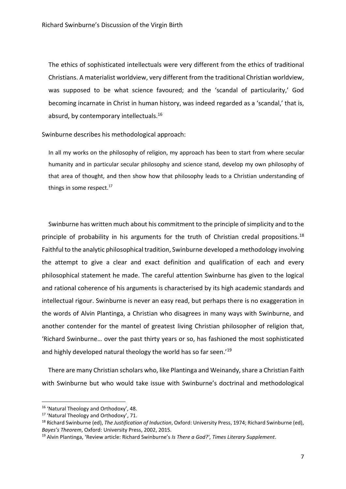The ethics of sophisticated intellectuals were very different from the ethics of traditional Christians. A materialist worldview, very different from the traditional Christian worldview, was supposed to be what science favoured; and the 'scandal of particularity,' God becoming incarnate in Christ in human history, was indeed regarded as a 'scandal,' that is, absurd, by contemporary intellectuals.<sup>16</sup>

Swinburne describes his methodological approach:

In all my works on the philosophy of religion, my approach has been to start from where secular humanity and in particular secular philosophy and science stand, develop my own philosophy of that area of thought, and then show how that philosophy leads to a Christian understanding of things in some respect.<sup>17</sup>

Swinburne has written much about his commitment to the principle of simplicity and to the principle of probability in his arguments for the truth of Christian credal propositions.<sup>18</sup> Faithful to the analytic philosophical tradition, Swinburne developed a methodology involving the attempt to give a clear and exact definition and qualification of each and every philosophical statement he made. The careful attention Swinburne has given to the logical and rational coherence of his arguments is characterised by its high academic standards and intellectual rigour. Swinburne is never an easy read, but perhaps there is no exaggeration in the words of Alvin Plantinga, a Christian who disagrees in many ways with Swinburne, and another contender for the mantel of greatest living Christian philosopher of religion that, 'Richard Swinburne… over the past thirty years or so, has fashioned the most sophisticated and highly developed natural theology the world has so far seen.<sup>'19</sup>

 There are many Christian scholars who, like Plantinga and Weinandy, share a Christian Faith with Swinburne but who would take issue with Swinburne's doctrinal and methodological

<sup>&</sup>lt;sup>16</sup> 'Natural Theology and Orthodoxy', 48.

<sup>17</sup> 'Natural Theology and Orthodoxy', 71.

<sup>18</sup> Richard Swinburne (ed), *The Justification of Induction*, Oxford: University Press, 1974; Richard Swinburne (ed), *Bayes's Theorem*, Oxford: University Press, 2002, 2015.

<sup>19</sup> Alvin Plantinga, 'Review article: Richard Swinburne's *Is There a God?'*, *Times Literary Supplement*.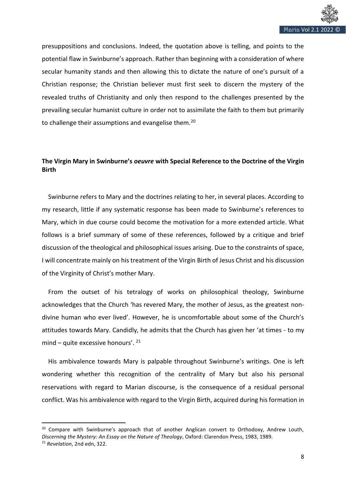

presuppositions and conclusions. Indeed, the quotation above is telling, and points to the potential flaw in Swinburne's approach. Rather than beginning with a consideration of where secular humanity stands and then allowing this to dictate the nature of one's pursuit of a Christian response; the Christian believer must first seek to discern the mystery of the revealed truths of Christianity and only then respond to the challenges presented by the prevailing secular humanist culture in order not to assimilate the faith to them but primarily to challenge their assumptions and evangelise them.<sup>20</sup>

# **The Virgin Mary in Swinburne's** *oeuvre* **with Special Reference to the Doctrine of the Virgin Birth**

 Swinburne refers to Mary and the doctrines relating to her, in several places. According to my research, little if any systematic response has been made to Swinburne's references to Mary, which in due course could become the motivation for a more extended article. What follows is a brief summary of some of these references, followed by a critique and brief discussion of the theological and philosophical issues arising. Due to the constraints of space, I will concentrate mainly on his treatment of the Virgin Birth of Jesus Christ and his discussion of the Virginity of Christ's mother Mary.

 From the outset of his tetralogy of works on philosophical theology, Swinburne acknowledges that the Church 'has revered Mary, the mother of Jesus, as the greatest nondivine human who ever lived'. However, he is uncomfortable about some of the Church's attitudes towards Mary. Candidly, he admits that the Church has given her 'at times - to my mind – quite excessive honours'. <sup>21</sup>

 His ambivalence towards Mary is palpable throughout Swinburne's writings. One is left wondering whether this recognition of the centrality of Mary but also his personal reservations with regard to Marian discourse, is the consequence of a residual personal conflict. Was his ambivalence with regard to the Virgin Birth, acquired during his formation in

<sup>&</sup>lt;sup>20</sup> Compare with Swinburne's approach that of another Anglican convert to Orthodoxy, Andrew Louth, *Discerning the Mystery: An Essay on the Nature of Theology*, Oxford: Clarendon Press, 1983, 1989. <sup>21</sup> *Revelation*, 2nd edn, 322.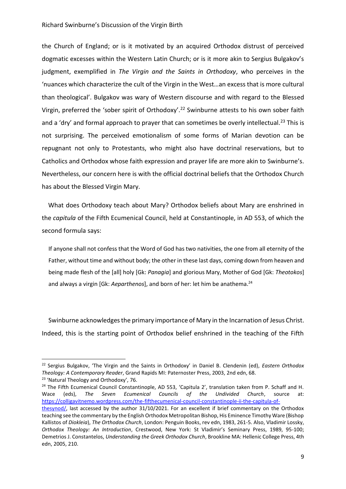the Church of England; or is it motivated by an acquired Orthodox distrust of perceived dogmatic excesses within the Western Latin Church; or is it more akin to Sergius Bulgakov's judgment, exemplified in *The Virgin and the Saints in Orthodoxy*, who perceives in the 'nuances which characterize the cult of the Virgin in the West…an excess that is more cultural than theological'. Bulgakov was wary of Western discourse and with regard to the Blessed Virgin, preferred the 'sober spirit of Orthodoxy'.<sup>22</sup> Swinburne attests to his own sober faith and a 'dry' and formal approach to prayer that can sometimes be overly intellectual.<sup>23</sup> This is not surprising. The perceived emotionalism of some forms of Marian devotion can be repugnant not only to Protestants, who might also have doctrinal reservations, but to Catholics and Orthodox whose faith expression and prayer life are more akin to Swinburne's. Nevertheless, our concern here is with the official doctrinal beliefs that the Orthodox Church has about the Blessed Virgin Mary.

 What does Orthodoxy teach about Mary? Orthodox beliefs about Mary are enshrined in the *capitula* of the Fifth Ecumenical Council, held at Constantinople, in AD 553, of which the second formula says:

If anyone shall not confess that the Word of God has two nativities, the one from all eternity of the Father, without time and without body; the other in these last days, coming down from heaven and being made flesh of the [all] holy [Gk: *Panagia*] and glorious Mary, Mother of God [Gk: *Theotokos*] and always a virgin [Gk: Aeparthenos], and born of her: let him be anathema.<sup>24</sup>

Swinburne acknowledges the primary importance of Mary in the Incarnation of Jesus Christ. Indeed, this is the starting point of Orthodox belief enshrined in the teaching of the Fifth

<sup>22</sup> Sergius Bulgakov, 'The Virgin and the Saints in Orthodoxy' in Daniel B. Clendenin (ed), *Eastern Orthodox Theology: A Contemporary Reader*, Grand Rapids MI: Paternoster Press, 2003, 2nd edn, 68.

<sup>&</sup>lt;sup>23</sup> 'Natural Theology and Orthodoxy', 76.

 $24$  The Fifth Ecumenical Council Constantinople, AD 553, 'Capitula 2', translation taken from P. Schaff and H. Wace (eds), *The Seven Ecumenical Councils of the Undivided Church*, source at: [https://colligavitnemo.wordpress.com/the-fifthecumenical-council-constantinople-ii-the-capitula-of-](https://colligavitnemo.wordpress.com/the-fifthecumenical-council-constantinople-ii-the-capitula-of-thesynod/)

[thesynod/,](https://colligavitnemo.wordpress.com/the-fifthecumenical-council-constantinople-ii-the-capitula-of-thesynod/) last accessed by the author 31/10/2021. For an excellent if brief commentary on the Orthodox teaching see the commentary by the English Orthodox Metropolitan Bishop, His Eminence Timothy Ware (Bishop Kallistos of *Diokleia*), *The Orthodox Church*, London: Penguin Books, rev edn, 1983, 261-5. Also, Vladimir Lossky, *Orthodox Theology: An Introduction*, Crestwood, New York: St Vladimir's Seminary Press, 1989, 95-100; Demetrios J. Constantelos, *Understanding the Greek Orthodox Church*, Brookline MA: Hellenic College Press, 4th edn, 2005, 210.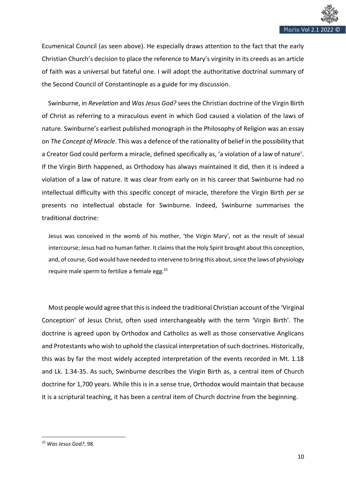

Ecumenical Council (as seen above). He especially draws attention to the fact that the early Christian Church's decision to place the reference to Mary's virginity in its creeds as an article of faith was a universal but fateful one. I will adopt the authoritative doctrinal summary of the Second Council of Constantinople as a guide for my discussion.

 Swinburne, in *Revelation* and *Was Jesus God?* sees the Christian doctrine of the Virgin Birth of Christ as referring to a miraculous event in which God caused a violation of the laws of nature. Swinburne's earliest published monograph in the Philosophy of Religion was an essay on *The Concept of Miracle*. This was a defence of the rationality of belief in the possibility that a Creator God could perform a miracle, defined specifically as, 'a violation of a law of nature'. If the Virgin Birth happened, as Orthodoxy has always maintained it did, then it is indeed a violation of a law of nature. It was clear from early on in his career that Swinburne had no intellectual difficulty with this specific concept of miracle, therefore the Virgin Birth *per se* presents no intellectual obstacle for Swinburne. Indeed, Swinburne summarises the traditional doctrine:

Jesus was conceived in the womb of his mother, 'the Virgin Mary', not as the result of sexual intercourse; Jesus had no human father. It claims that the Holy Spirit brought about this conception, and, of course, God would have needed to intervene to bring this about, since the laws of physiology require male sperm to fertilize a female egg.<sup>25</sup>

Most people would agree that this is indeed the traditional Christian account of the 'Virginal Conception' of Jesus Christ, often used interchangeably with the term 'Virgin Birth'. The doctrine is agreed upon by Orthodox and Catholics as well as those conservative Anglicans and Protestants who wish to uphold the classical interpretation of such doctrines. Historically, this was by far the most widely accepted interpretation of the events recorded in Mt. 1.18 and Lk. 1.34-35. As such, Swinburne describes the Virgin Birth as, a central item of Church doctrine for 1,700 years. While this is in a sense true, Orthodox would maintain that because it is a scriptural teaching, it has been a central item of Church doctrine from the beginning.

<sup>25</sup> *Was Jesus God?*, 98.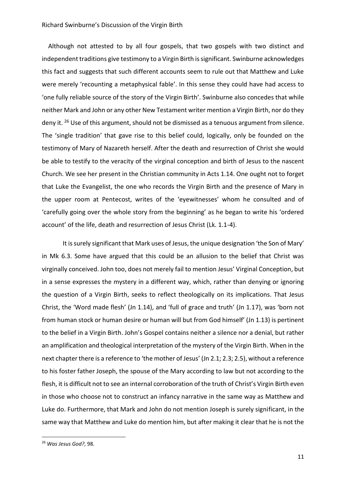Although not attested to by all four gospels, that two gospels with two distinct and independent traditions give testimony to a Virgin Birth is significant. Swinburne acknowledges this fact and suggests that such different accounts seem to rule out that Matthew and Luke were merely 'recounting a metaphysical fable'. In this sense they could have had access to 'one fully reliable source of the story of the Virgin Birth'. Swinburne also concedes that while neither Mark and John or any other New Testament writer mention a Virgin Birth, nor do they deny it. <sup>26</sup> Use of this argument, should not be dismissed as a tenuous argument from silence. The 'single tradition' that gave rise to this belief could, logically, only be founded on the testimony of Mary of Nazareth herself. After the death and resurrection of Christ she would be able to testify to the veracity of the virginal conception and birth of Jesus to the nascent Church. We see her present in the Christian community in Acts 1.14. One ought not to forget that Luke the Evangelist, the one who records the Virgin Birth and the presence of Mary in the upper room at Pentecost, writes of the 'eyewitnesses' whom he consulted and of 'carefully going over the whole story from the beginning' as he began to write his 'ordered account' of the life, death and resurrection of Jesus Christ (Lk. 1.1-4).

It is surely significant that Mark uses of Jesus, the unique designation 'the Son of Mary' in Mk 6.3. Some have argued that this could be an allusion to the belief that Christ was virginally conceived. John too, does not merely fail to mention Jesus' Virginal Conception, but in a sense expresses the mystery in a different way, which, rather than denying or ignoring the question of a Virgin Birth, seeks to reflect theologically on its implications. That Jesus Christ, the 'Word made flesh' (Jn 1.14), and 'full of grace and truth' (Jn 1.17), was 'born not from human stock or human desire or human will but from God himself' (Jn 1.13) is pertinent to the belief in a Virgin Birth. John's Gospel contains neither a silence nor a denial, but rather an amplification and theological interpretation of the mystery of the Virgin Birth. When in the next chapter there is a reference to 'the mother of Jesus' (Jn 2.1; 2.3; 2.5), without a reference to his foster father Joseph, the spouse of the Mary according to law but not according to the flesh, it is difficult not to see an internal corroboration of the truth of Christ's Virgin Birth even in those who choose not to construct an infancy narrative in the same way as Matthew and Luke do. Furthermore, that Mark and John do not mention Joseph is surely significant, in the same way that Matthew and Luke do mention him, but after making it clear that he is not the

<sup>26</sup> *Was Jesus God?*, 98.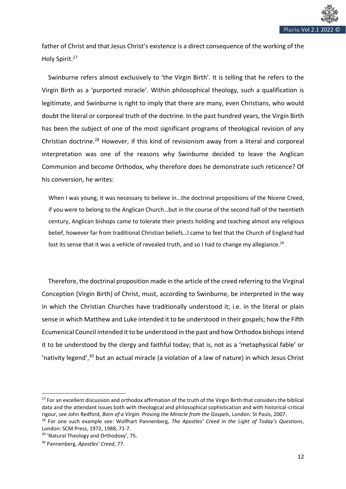

father of Christ and that Jesus Christ's existence is a direct consequence of the working of the Holy Spirit.<sup>27</sup>

 Swinburne refers almost exclusively to 'the Virgin Birth'. It is telling that he refers to the Virgin Birth as a 'purported miracle'. Within philosophical theology, such a qualification is legitimate, and Swinburne is right to imply that there are many, even Christians, who would doubt the literal or corporeal truth of the doctrine. In the past hundred years, the Virgin Birth has been the subject of one of the most significant programs of theological revision of any Christian doctrine.<sup>28</sup> However, if this kind of revisionism away from a literal and corporeal interpretation was one of the reasons why Swinburne decided to leave the Anglican Communion and become Orthodox, why therefore does he demonstrate such reticence? Of his conversion, he writes:

When I was young, it was necessary to believe in…the doctrinal propositions of the Nicene Creed, if you were to belong to the Anglican Church…but in the course of the second half of the twentieth century, Anglican bishops came to tolerate their priests holding and teaching almost any religious belief, however far from traditional Christian beliefs…I came to feel that the Church of England had lost its sense that it was a vehicle of revealed truth, and so I had to change my allegiance.<sup>29</sup>

 Therefore, the doctrinal proposition made in the article of the creed referring to the Virginal Conception (Virgin Birth) of Christ, must, according to Swinburne, be interpreted in the way in which the Christian Churches have traditionally understood it; i.e. in the literal or plain sense in which Matthew and Luke intended it to be understood in their gospels; how the Fifth Ecumenical Council intended it to be understood in the past and how Orthodox bishops intend it to be understood by the clergy and faithful today; that is, not as a 'metaphysical fable' or 'nativity legend',<sup>30</sup> but an actual miracle (a violation of a law of nature) in which Jesus Christ

<sup>&</sup>lt;sup>27</sup> For an excellent discussion and orthodox affirmation of the truth of the Virgin Birth that considers the biblical data and the attendant issues both with theological and philosophical sophistication and with historical-critical rigour, see John Redford, *Born of a Virgin: Proving the Miracle from the Gospels*, London: St Pauls, 2007.

<sup>28</sup> For one such example see: Wolfhart Pannenberg, *The Apostles' Creed in the Light of Today's Questions*, London: SCM Press, 1972, 1988, 71-7.

<sup>&</sup>lt;sup>29</sup> 'Natural Theology and Orthodoxy', 75.

<sup>30</sup> Pannenberg, *Apostles' Creed*, 77.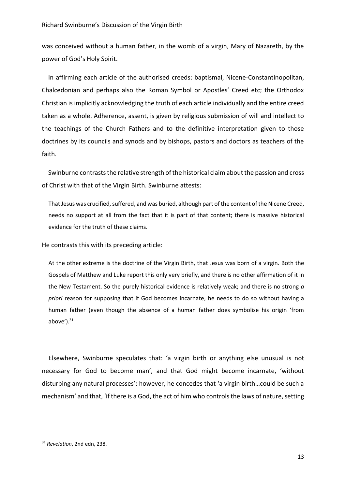was conceived without a human father, in the womb of a virgin, Mary of Nazareth, by the power of God's Holy Spirit.

 In affirming each article of the authorised creeds: baptismal, Nicene-Constantinopolitan, Chalcedonian and perhaps also the Roman Symbol or Apostles' Creed etc; the Orthodox Christian is implicitly acknowledging the truth of each article individually and the entire creed taken as a whole. Adherence, assent, is given by religious submission of will and intellect to the teachings of the Church Fathers and to the definitive interpretation given to those doctrines by its councils and synods and by bishops, pastors and doctors as teachers of the faith.

 Swinburne contrasts the relative strength of the historical claim about the passion and cross of Christ with that of the Virgin Birth. Swinburne attests:

That Jesus was crucified, suffered, and was buried, although part of the content of the Nicene Creed, needs no support at all from the fact that it is part of that content; there is massive historical evidence for the truth of these claims.

He contrasts this with its preceding article:

At the other extreme is the doctrine of the Virgin Birth, that Jesus was born of a virgin. Both the Gospels of Matthew and Luke report this only very briefly, and there is no other affirmation of it in the New Testament. So the purely historical evidence is relatively weak; and there is no strong *a priori* reason for supposing that if God becomes incarnate, he needs to do so without having a human father (even though the absence of a human father does symbolise his origin 'from above $^{\prime}$ ). $^{31}$ 

Elsewhere, Swinburne speculates that: 'a virgin birth or anything else unusual is not necessary for God to become man', and that God might become incarnate, 'without disturbing any natural processes'; however, he concedes that 'a virgin birth…could be such a mechanism' and that, 'if there is a God, the act of him who controls the laws of nature, setting

<sup>31</sup> *Revelation*, 2nd edn, 238.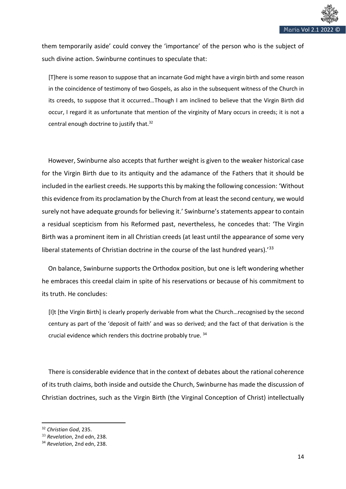

them temporarily aside' could convey the 'importance' of the person who is the subject of such divine action. Swinburne continues to speculate that:

[T]here is some reason to suppose that an incarnate God might have a virgin birth and some reason in the coincidence of testimony of two Gospels, as also in the subsequent witness of the Church in its creeds, to suppose that it occurred…Though I am inclined to believe that the Virgin Birth did occur, I regard it as unfortunate that mention of the virginity of Mary occurs in creeds; it is not a central enough doctrine to justify that.<sup>32</sup>

 However, Swinburne also accepts that further weight is given to the weaker historical case for the Virgin Birth due to its antiquity and the adamance of the Fathers that it should be included in the earliest creeds. He supports this by making the following concession: 'Without this evidence from its proclamation by the Church from at least the second century, we would surely not have adequate grounds for believing it.' Swinburne's statements appear to contain a residual scepticism from his Reformed past, nevertheless, he concedes that: 'The Virgin Birth was a prominent item in all Christian creeds (at least until the appearance of some very liberal statements of Christian doctrine in the course of the last hundred years).<sup>'33</sup>

 On balance, Swinburne supports the Orthodox position, but one is left wondering whether he embraces this creedal claim in spite of his reservations or because of his commitment to its truth. He concludes:

[I]t [the Virgin Birth] is clearly properly derivable from what the Church…recognised by the second century as part of the 'deposit of faith' and was so derived; and the fact of that derivation is the crucial evidence which renders this doctrine probably true. <sup>34</sup>

There is considerable evidence that in the context of debates about the rational coherence of its truth claims, both inside and outside the Church, Swinburne has made the discussion of Christian doctrines, such as the Virgin Birth (the Virginal Conception of Christ) intellectually

<sup>32</sup> *Christian God*, 235.

<sup>33</sup> *Revelation*, 2nd edn, 238.

<sup>34</sup> *Revelation*, 2nd edn, 238.